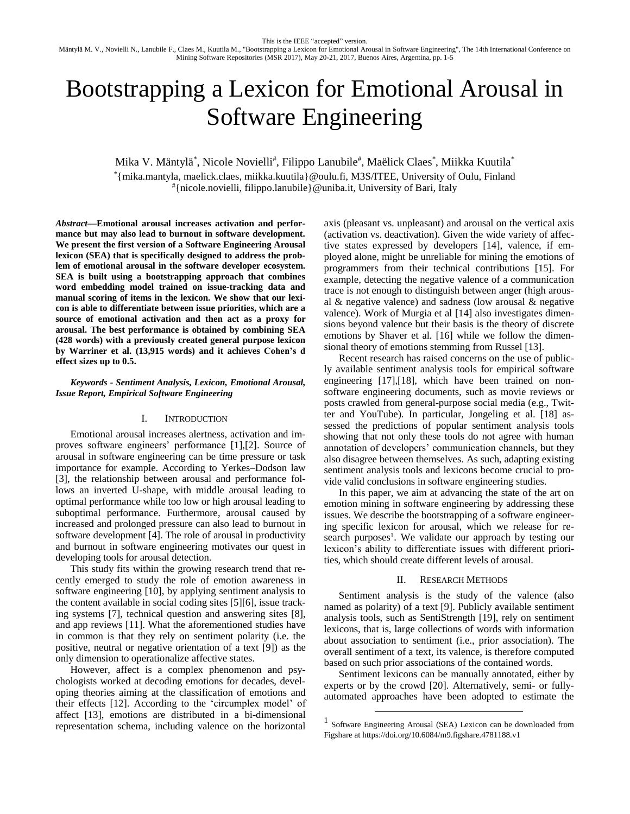Mäntylä M. V., Novielli N., Lanubile F., Claes M., Kuutila M., "Bootstrapping a Lexicon for Emotional Arousal in Software Engineering", The 14th International Conference on Mining Software Repositories (MSR 2017), May 20-21, 2017, Buenos Aires, Argentina, pp. 1-5

# Bootstrapping a Lexicon for Emotional Arousal in Software Engineering

Mika V. Mäntylä\*, Nicole Novielli<sup>#</sup>, Filippo Lanubile<sup>#</sup>, Maëlick Claes\*, Miikka Kuutila\*

\*{mika.mantyla, maelick.claes, miikka.kuutila}@oulu.fi, M3S/ITEE, University of Oulu, Finland #{nicole.novielli, filippo.lanubile}@uniba.it, University of Bari, Italy

*Abstract***—Emotional arousal increases activation and performance but may also lead to burnout in software development. We present the first version of a Software Engineering Arousal lexicon (SEA) that is specifically designed to address the problem of emotional arousal in the software developer ecosystem. SEA is built using a bootstrapping approach that combines word embedding model trained on issue-tracking data and manual scoring of items in the lexicon. We show that our lexicon is able to differentiate between issue priorities, which are a source of emotional activation and then act as a proxy for arousal. The best performance is obtained by combining SEA (428 words) with a previously created general purpose lexicon by Warriner et al. (13,915 words) and it achieves Cohen's d effect sizes up to 0.5.** 

## *Keywords - Sentiment Analysis, Lexicon, Emotional Arousal, Issue Report, Empirical Software Engineering*

## I. INTRODUCTION

Emotional arousal increases alertness, activation and improves software engineers' performance [\[1\],](#page-3-0)[\[2\].](#page-3-1) Source of arousal in software engineering can be time pressure or task importance for example. According to Yerkes–Dodson law [\[3\],](#page-3-2) the relationship between arousal and performance follows an inverted U-shape, with middle arousal leading to optimal performance while too low or high arousal leading to suboptimal performance. Furthermore, arousal caused by increased and prolonged pressure can also lead to burnout in software development [\[4\].](#page-4-0) The role of arousal in productivity and burnout in software engineering motivates our quest in developing tools for arousal detection.

This study fits within the growing research trend that recently emerged to study the role of emotion awareness in software engineering [\[10\],](#page-4-1) by applying sentiment analysis to the content available in social coding sites [\[5\]\[6\],](#page-4-2) issue tracking systems [\[7\],](#page-4-3) technical question and answering sites [\[8\],](#page-4-4) and app reviews [\[11\].](#page-4-5) What the aforementioned studies have in common is that they rely on sentiment polarity (i.e. the positive, neutral or negative orientation of a text [\[9\]\)](#page-4-6) as the only dimension to operationalize affective states.

However, affect is a complex phenomenon and psychologists worked at decoding emotions for decades, developing theories aiming at the classification of emotions and their effects [\[12\].](#page-4-7) According to the 'circumplex model' of affect [\[13\],](#page-4-8) emotions are distributed in a bi-dimensional representation schema, including valence on the horizontal

axis (pleasant vs. unpleasant) and arousal on the vertical axis (activation vs. deactivation). Given the wide variety of affective states expressed by developers [\[14\],](#page-4-9) valence, if employed alone, might be unreliable for mining the emotions of programmers from their technical contributions [\[15\].](#page-4-10) For example, detecting the negative valence of a communication trace is not enough to distinguish between anger (high arousal & negative valence) and sadness (low arousal & negative valence). Work of Murgia et al [\[14\]](#page-4-9) also investigates dimensions beyond valence but their basis is the theory of discrete emotions by Shaver et al. [\[16\]](#page-4-11) while we follow the dimensional theory of emotions stemming from Russel [\[13\].](#page-4-8)

Recent research has raised concerns on the use of publicly available sentiment analysis tools for empirical software engineering [\[17\]](#page-4-12)[,\[18\],](#page-4-13) which have been trained on nonsoftware engineering documents, such as movie reviews or posts crawled from general-purpose social media (e.g., Twitter and YouTube). In particular, Jongeling et al. [\[18\]](#page-4-13) assessed the predictions of popular sentiment analysis tools showing that not only these tools do not agree with human annotation of developers' communication channels, but they also disagree between themselves. As such, adapting existing sentiment analysis tools and lexicons become crucial to provide valid conclusions in software engineering studies.

In this paper, we aim at advancing the state of the art on emotion mining in software engineering by addressing these issues. We describe the bootstrapping of a software engineering specific lexicon for arousal, which we release for research purposes<sup>1</sup>. We validate our approach by testing our lexicon's ability to differentiate issues with different priorities, which should create different levels of arousal.

## II. RESEARCH METHODS

Sentiment analysis is the study of the valence (also named as polarity) of a text [\[9\].](#page-4-6) Publicly available sentiment analysis tools, such as SentiStrength [\[19\],](#page-4-14) rely on sentiment lexicons, that is, large collections of words with information about association to sentiment (i.e., prior association). The overall sentiment of a text, its valence, is therefore computed based on such prior associations of the contained words.

Sentiment lexicons can be manually annotated, either by experts or by the crowd [\[20\].](#page-4-15) Alternatively, semi- or fullyautomated approaches have been adopted to estimate the

 $\overline{a}$ 

<sup>1</sup> Software Engineering Arousal (SEA) Lexicon can be downloaded from Figshare at https://doi.org/10.6084/m9.figshare.4781188.v1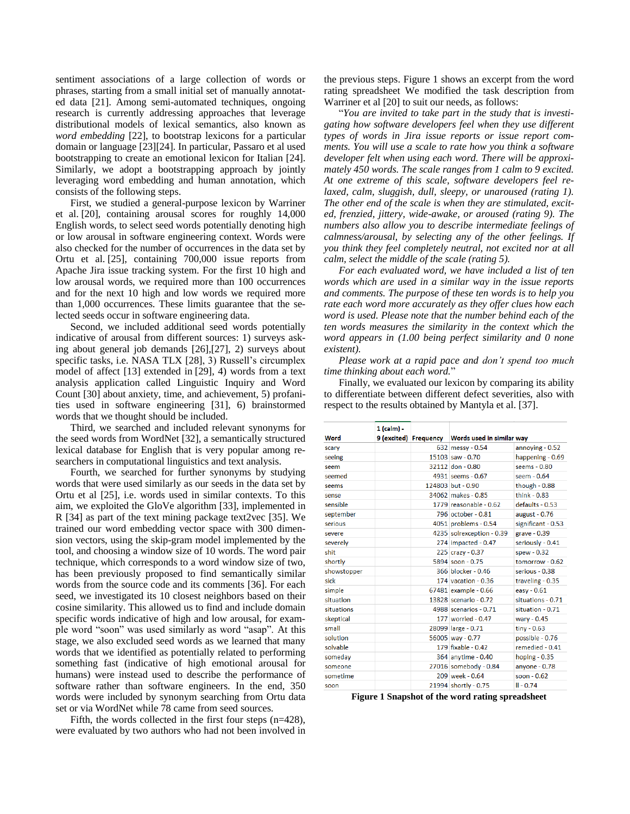sentiment associations of a large collection of words or phrases, starting from a small initial set of manually annotated data [\[21\].](#page-4-16) Among semi-automated techniques, ongoing research is currently addressing approaches that leverage distributional models of lexical semantics, also known as *word embedding* [\[22\],](#page-4-17) to bootstrap lexicons for a particular domain or language [\[23\]\[24\].](#page-4-18) In particular, Passaro et al used bootstrapping to create an emotional lexicon for Italian [\[24\].](#page-4-19) Similarly, we adopt a bootstrapping approach by jointly leveraging word embedding and human annotation, which consists of the following steps.

First, we studied a general-purpose lexicon by Warriner et al. [\[20\],](#page-4-15) containing arousal scores for roughly 14,000 English words, to select seed words potentially denoting high or low arousal in software engineering context. Words were also checked for the number of occurrences in the data set by Ortu et al. [\[25\],](#page-4-20) containing 700,000 issue reports from Apache Jira issue tracking system. For the first 10 high and low arousal words, we required more than 100 occurrences and for the next 10 high and low words we required more than 1,000 occurrences. These limits guarantee that the selected seeds occur in software engineering data.

Second, we included additional seed words potentially indicative of arousal from different sources: 1) surveys asking about general job demands [\[26\]](#page-4-21)[,\[27\],](#page-4-22) 2) surveys about specific tasks, i.e. NASA TLX [\[28\],](#page-4-23) 3) Russell's circumplex model of affect [\[13\]](#page-4-8) extended in [\[29\],](#page-4-24) 4) words from a text analysis application called Linguistic Inquiry and Word Count [\[30\]](#page-4-25) about anxiety, time, and achievement, 5) profanities used in software engineering [\[31\],](#page-4-26) 6) brainstormed words that we thought should be included.

Third, we searched and included relevant synonyms for the seed words from WordNe[t \[32\],](#page-4-27) a semantically structured lexical database for English that is very popular among researchers in computational linguistics and text analysis.

Fourth, we searched for further synonyms by studying words that were used similarly as our seeds in the data set by Ortu et al [\[25\],](#page-4-20) i.e. words used in similar contexts. To this aim, we exploited the GloVe algorithm [\[33\],](#page-4-28) implemented in R [\[34\]](#page-4-29) as part of the text mining package text2vec [\[35\].](#page-4-30) We trained our word embedding vector space with 300 dimension vectors, using the skip-gram model implemented by the tool, and choosing a window size of 10 words. The word pair technique, which corresponds to a word window size of two, has been previously proposed to find semantically similar words from the source code and its comments [\[36\].](#page-4-31) For each seed, we investigated its 10 closest neighbors based on their cosine similarity. This allowed us to find and include domain specific words indicative of high and low arousal, for example word "soon" was used similarly as word "asap". At this stage, we also excluded seed words as we learned that many words that we identified as potentially related to performing something fast (indicative of high emotional arousal for humans) were instead used to describe the performance of software rather than software engineers. In the end, 350 words were included by synonym searching from Ortu data set or via WordNet while 78 came from seed sources.

Fifth, the words collected in the first four steps  $(n=428)$ , were evaluated by two authors who had not been involved in the previous steps. [Figure 1](#page-1-0) shows an excerpt from the word rating spreadsheet We modified the task description from Warriner et al [\[20\]](#page-4-15) to suit our needs, as follows:

"*You are invited to take part in the study that is investigating how software developers feel when they use different types of words in Jira issue reports or issue report comments. You will use a scale to rate how you think a software developer felt when using each word. There will be approximately 450 words. The scale ranges from 1 calm to 9 excited. At one extreme of this scale, software developers feel relaxed, calm, sluggish, dull, sleepy, or unaroused (rating 1). The other end of the scale is when they are stimulated, excited, frenzied, jittery, wide-awake, or aroused (rating 9). The numbers also allow you to describe intermediate feelings of calmness/arousal, by selecting any of the other feelings. If you think they feel completely neutral, not excited nor at all calm, select the middle of the scale (rating 5).*

*For each evaluated word, we have included a list of ten words which are used in a similar way in the issue reports and comments. The purpose of these ten words is to help you rate each word more accurately as they offer clues how each word is used. Please note that the number behind each of the ten words measures the similarity in the context which the word appears in (1.00 being perfect similarity and 0 none existent).* 

*Please work at a rapid pace and don't spend too much time thinking about each word.*"

Finally, we evaluated our lexicon by comparing its ability to differentiate between different defect severities, also with respect to the results obtained by Mantyla et al. [\[37\].](#page-4-32)

| Word        | 1 (calm) - | 9 (excited) Frequency Words used in similar way |                    |
|-------------|------------|-------------------------------------------------|--------------------|
| scary       |            | 632 messy - 0.54                                | annoying - 0.52    |
| seeing      |            | 15103 saw - 0.70                                | happening - 0.69   |
| seem        |            | 32112 don - 0.80                                | seems - 0.80       |
| seemed      |            | 4931 seems - 0.67                               | seem $-0.64$       |
| seems       |            | 124803 but - 0.90                               | though $-0.88$     |
| sense       |            | 34062 makes - 0.85                              | think $-0.83$      |
| sensible    |            | 1779 reasonable - 0.62                          | $defaults - 0.53$  |
| september   |            | 796 october - 0.81                              | august - 0.76      |
| serious     |            | 4051 problems - 0.54                            | significant - 0.53 |
| severe      |            | 4235 solrexception - 0.39                       | $grave - 0.39$     |
| severely    |            | 274 impacted - 0.47                             | seriously - 0.41   |
| shit        |            | 225 crazy - 0.37                                | $s$ pew - 0.32     |
| shortly     |            | 5894 soon - 0.75                                | tomorrow - 0.62    |
| showstopper |            | 366 blocker - 0.46                              | serious - 0.38     |
| sick        |            | 174 vacation - $0.36$                           | traveling - 0.35   |
| simple      |            | 67481 example - 0.66                            | easy - 0.61        |
| situation   |            | 13828 scenario - 0.72                           | situations - 0.71  |
| situations  |            | 4988 scenarios - 0.71                           | situation - 0.71   |
| skeptical   |            | 177 worried - 0.47                              | wary $-0.45$       |
| small       |            | 28099 large - 0.71                              | $tiny - 0.63$      |
| solution    |            | 56005 way - 0.77                                | possible - 0.76    |
| solvable    |            | 179 fixable - 0.42                              | remedied - 0.41    |
| someday     |            | 364 anytime - 0.40                              | hoping - 0.35      |
| someone     |            | 27016 somebody - 0.84                           | anyone $-0.78$     |
| sometime    |            | 209 week - 0.64                                 | soon $-0.62$       |
| soon        |            | 21994 shortly - 0.75                            | $II - 0.74$        |
|             |            |                                                 |                    |

<span id="page-1-0"></span>**Figure 1 Snapshot of the word rating spreadsheet**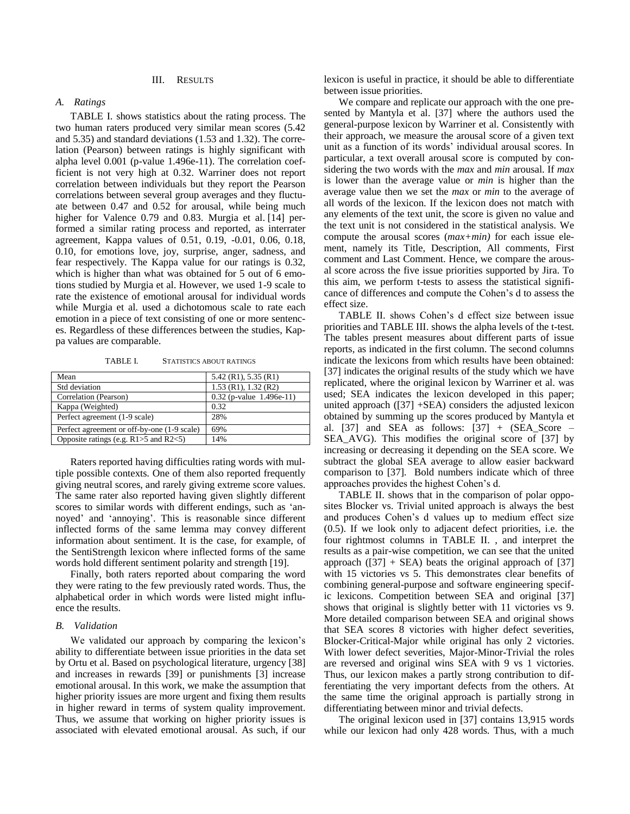### III. RESULTS

## *A. Ratings*

[TABLE I. s](#page-2-0)hows statistics about the rating process. The two human raters produced very similar mean scores (5.42 and 5.35) and standard deviations (1.53 and 1.32). The correlation (Pearson) between ratings is highly significant with alpha level 0.001 (p-value 1.496e-11). The correlation coefficient is not very high at 0.32. Warriner does not report correlation between individuals but they report the Pearson correlations between several group averages and they fluctuate between 0.47 and 0.52 for arousal, while being much higher for Valence 0.79 and 0.83. Murgia et al. [\[14\]](#page-4-9) performed a similar rating process and reported, as interrater agreement, Kappa values of 0.51, 0.19, -0.01, 0.06, 0.18, 0.10, for emotions love, joy, surprise, anger, sadness, and fear respectively. The Kappa value for our ratings is 0.32, which is higher than what was obtained for 5 out of 6 emotions studied by Murgia et al. However, we used 1-9 scale to rate the existence of emotional arousal for individual words while Murgia et al. used a dichotomous scale to rate each emotion in a piece of text consisting of one or more sentences. Regardless of these differences between the studies, Kappa values are comparable.

<span id="page-2-0"></span>TABLE I. STATISTICS ABOUT RATINGS

| Mean                                           | $5.42$ (R1), $5.35$ (R1)   |
|------------------------------------------------|----------------------------|
| Std deviation                                  | $1.53$ (R1), $1.32$ (R2)   |
| Correlation (Pearson)                          | $0.32$ (p-value 1.496e-11) |
| Kappa (Weighted)                               | 0.32                       |
| Perfect agreement (1-9 scale)                  | 28%                        |
| Perfect agreement or off-by-one (1-9 scale)    | 69%                        |
| Opposite ratings (e.g. $R1 > 5$ and $R2 < 5$ ) | 14%                        |

Raters reported having difficulties rating words with multiple possible contexts. One of them also reported frequently giving neutral scores, and rarely giving extreme score values. The same rater also reported having given slightly different scores to similar words with different endings, such as 'annoyed' and 'annoying'. This is reasonable since different inflected forms of the same lemma may convey different information about sentiment. It is the case, for example, of the SentiStrength lexicon where inflected forms of the same words hold different sentiment polarity and strength [\[19\].](#page-4-14)

Finally, both raters reported about comparing the word they were rating to the few previously rated words. Thus, the alphabetical order in which words were listed might influence the results.

### *B. Validation*

We validated our approach by comparing the lexicon's ability to differentiate between issue priorities in the data set by Ortu et al. Based on psychological literature, urgenc[y \[38\]](#page-4-33) and increases in rewards [\[39\]](#page-4-34) or punishments [\[3\]](#page-3-2) increase emotional arousal. In this work, we make the assumption that higher priority issues are more urgent and fixing them results in higher reward in terms of system quality improvement. Thus, we assume that working on higher priority issues is associated with elevated emotional arousal. As such, if our lexicon is useful in practice, it should be able to differentiate between issue priorities.

We compare and replicate our approach with the one presented by Mantyla et al. [\[37\]](#page-4-32) where the authors used the general-purpose lexicon by Warriner et al. Consistently with their approach, we measure the arousal score of a given text unit as a function of its words' individual arousal scores. In particular, a text overall arousal score is computed by considering the two words with the *max* and *min* arousal. If *max* is lower than the average value or *min* is higher than the average value then we set the *max* or *min* to the average of all words of the lexicon. If the lexicon does not match with any elements of the text unit, the score is given no value and the text unit is not considered in the statistical analysis. We compute the arousal scores (*max+min)* for each issue element, namely its Title, Description, All comments, First comment and Last Comment. Hence, we compare the arousal score across the five issue priorities supported by Jira. To this aim, we perform t-tests to assess the statistical significance of differences and compute the Cohen's d to assess the effect size.

[TABLE II. s](#page-3-3)hows Cohen's d effect size between issue priorities and [TABLE III. s](#page-3-4)hows the alpha levels of the t-test. The tables present measures about different parts of issue reports, as indicated in the first column. The second columns indicate the lexicons from which results have been obtained: [\[37\]](#page-4-32) indicates the original results of the study which we have replicated, where the original lexicon by Warriner et al. was used; SEA indicates the lexicon developed in this paper; united approach [\(\[37\]](#page-4-32) +SEA) considers the adjusted lexicon obtained by summing up the scores produced by Mantyla et al. [\[37\]](#page-4-32) and SEA as follows:  $[37] + (SEA_Score -$ SEA\_AVG). This modifies the original score of [\[37\]](#page-4-32) by increasing or decreasing it depending on the SEA score. We subtract the global SEA average to allow easier backward comparison to [\[37\].](#page-4-32) Bold numbers indicate which of three approaches provides the highest Cohen's d.

[TABLE II. s](#page-3-3)hows that in the comparison of polar opposites Blocker vs. Trivial united approach is always the best and produces Cohen's d values up to medium effect size (0.5). If we look only to adjacent defect priorities, i.e. the four rightmost columns in [TABLE II. ,](#page-3-3) and interpret the results as a pair-wise competition, we can see that the united approach  $(37] + SEA$ ) beats the original approach of [\[37\]](#page-4-32) with 15 victories vs 5. This demonstrates clear benefits of combining general-purpose and software engineering specific lexicons. Competition between SEA and original [\[37\]](#page-4-32) shows that original is slightly better with 11 victories vs 9. More detailed comparison between SEA and original shows that SEA scores 8 victories with higher defect severities, Blocker-Critical-Major while original has only 2 victories. With lower defect severities, Major-Minor-Trivial the roles are reversed and original wins SEA with 9 vs 1 victories. Thus, our lexicon makes a partly strong contribution to differentiating the very important defects from the others. At the same time the original approach is partially strong in differentiating between minor and trivial defects.

The original lexicon used in [\[37\]](#page-4-32) contains 13,915 words while our lexicon had only 428 words. Thus, with a much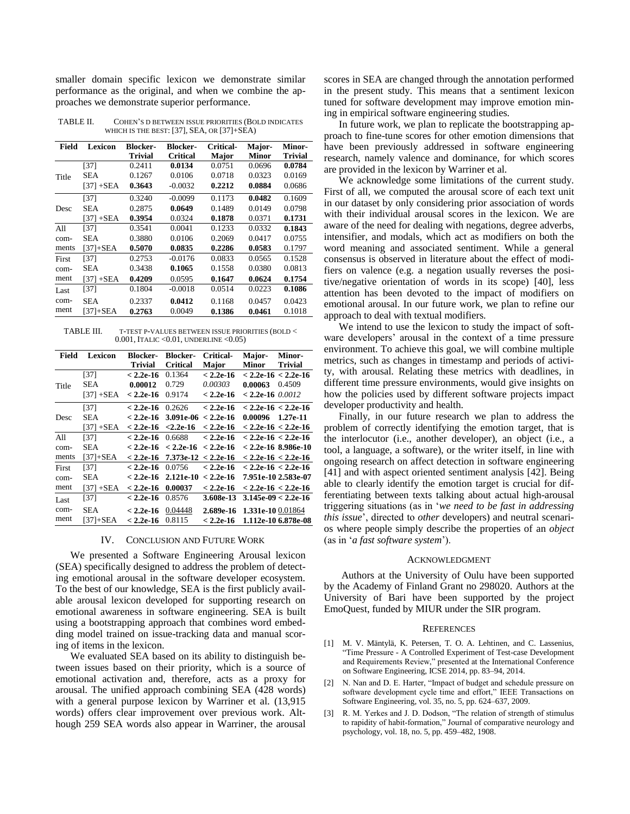smaller domain specific lexicon we demonstrate similar performance as the original, and when we combine the approaches we demonstrate superior performance.

<span id="page-3-3"></span>TABLE II. COHEN'S D BETWEEN ISSUE PRIORITIES (BOLD INDICATES WHICH IS THE BEST: [\[37\],](#page-4-32) SEA, OR [\[37\]+](#page-4-32)SEA)

| Field | Lexicon      | <b>Blocker-</b> | <b>Blocker-</b> | Critical- | Major-       | <b>Minor-</b> |
|-------|--------------|-----------------|-----------------|-----------|--------------|---------------|
|       |              | Trivial         | <b>Critical</b> | Major     | <b>Minor</b> | Trivial       |
|       | $[37]$       | 0.2411          | 0.0134          | 0.0751    | 0.0696       | 0.0784        |
| Title | <b>SEA</b>   | 0.1267          | 0.0106          | 0.0718    | 0.0323       | 0.0169        |
|       | $[37] + SEA$ | 0.3643          | $-0.0032$       | 0.2212    | 0.0884       | 0.0686        |
|       | [37]         | 0.3240          | $-0.0099$       | 0.1173    | 0.0482       | 0.1609        |
| Desc  | <b>SEA</b>   | 0.2875          | 0.0649          | 0.1489    | 0.0149       | 0.0798        |
|       | $[37] + SEA$ | 0.3954          | 0.0324          | 0.1878    | 0.0371       | 0.1731        |
| A11   | [37]         | 0.3541          | 0.0041          | 0.1233    | 0.0332       | 0.1843        |
| com-  | SEA          | 0.3880          | 0.0106          | 0.2069    | 0.0417       | 0.0755        |
| ments | $[37]+$ SEA  | 0.5070          | 0.0835          | 0.2286    | 0.0583       | 0.1797        |
| First | [37]         | 0.2753          | $-0.0176$       | 0.0833    | 0.0565       | 0.1528        |
| com-  | SEA          | 0.3438          | 0.1065          | 0.1558    | 0.0380       | 0.0813        |
| ment  | $[37] + SEA$ | 0.4209          | 0.0595          | 0.1647    | 0.0624       | 0.1754        |
| Last  | [37]         | 0.1804          | $-0.0018$       | 0.0514    | 0.0223       | 0.1086        |
| com-  | <b>SEA</b>   | 0.2337          | 0.0412          | 0.1168    | 0.0457       | 0.0423        |
| ment  | $[37]+$ SEA  | 0.2763          | 0.0049          | 0.1386    | 0.0461       | 0.1018        |

<span id="page-3-4"></span>TABLE III. T-TEST P-VALUES BETWEEN ISSUE PRIORITIES (BOLD < 0.001, ITALIC <0.01, UNDERLINE <0.05)

| Field | <b>Lexicon</b> | <b>Blocker-</b> | <b>Blocker-</b> | Critical-   | Major-              | Minor-                |
|-------|----------------|-----------------|-----------------|-------------|---------------------|-----------------------|
|       |                | Trivial         | Critical        | Major       | Minor               | Trivial               |
| Title | $[37]$         | $< 2.2e-16$     | 0.1364          | $< 2.2e-16$ |                     | $< 2.2e-16 < 2.2e-16$ |
|       | SEA.           | 0.00012         | 0.729           | 0.00303     | 0.00063             | 0.4509                |
|       | $[37]+$ SEA    | $< 2.2e-16$     | 0.9174          | $< 2.2e-16$ | $< 2.2$ e-16 0.0012 |                       |
| Desc  | [37]           | $< 2.2e-16$     | 0.2626          | $< 2.2e-16$ |                     | $< 2.2e-16 < 2.2e-16$ |
|       | SEA            | $< 2.2e-16$     | 3.091e-06       | $< 2.2e-16$ | 0.00096             | 1.27e-11              |
|       | $[37] + SEA$   | $< 2.2e-16$     | $< 2.2e-16$     | $< 2.2e-16$ |                     | $< 2.2e-16 < 2.2e-16$ |
| All   | $[37]$         | $< 2.2e-16$     | 0.6688          | $< 2.2e-16$ |                     | $< 2.2e-16 < 2.2e-16$ |
| com-  | SEA.           | $< 2.2e-16$     | $< 2.2e-16$     | $< 2.2e-16$ |                     | $< 2.2e-16$ 8.986e-10 |
| ments | $[37]+$ SEA    | $< 2.2e-16$     | 7.373e-12       | $< 2.2e-16$ |                     | $< 2.2e-16 < 2.2e-16$ |
| First | [37]           | $< 2.2e-16$     | 0.0756          | $< 2.2e-16$ |                     | $< 2.2e-16 < 2.2e-16$ |
| com-  | SEA            | $< 2.2e-16$     | 2.121e-10       | $< 2.2e-16$ |                     | 7.951e-10 2.583e-07   |
| ment  | $[37]+$ SEA    | $< 2.2e-16$     | 0.00037         | $< 2.2e-16$ |                     | $< 2.2e-16 < 2.2e-16$ |
| Last  | [37]           | $< 2.2e-16$     | 0.8576          | 3.608e-13   |                     | $3.145e-09 < 2.2e-16$ |
| com-  | <b>SEA</b>     | $< 2.2e-16$     | 0.04448         | 2.689e-16   | 1.331e-10 0.01864   |                       |
| ment  | [37]+SEA       | $< 2.2e-16$     | 0.8115          | $< 2.2e-16$ |                     | 1.112e-10 6.878e-08   |

### IV. CONCLUSION AND FUTURE WORK

We presented a Software Engineering Arousal lexicon (SEA) specifically designed to address the problem of detecting emotional arousal in the software developer ecosystem. To the best of our knowledge, SEA is the first publicly available arousal lexicon developed for supporting research on emotional awareness in software engineering. SEA is built using a bootstrapping approach that combines word embedding model trained on issue-tracking data and manual scoring of items in the lexicon.

We evaluated SEA based on its ability to distinguish between issues based on their priority, which is a source of emotional activation and, therefore, acts as a proxy for arousal. The unified approach combining SEA (428 words) with a general purpose lexicon by Warriner et al. (13,915 words) offers clear improvement over previous work. Although 259 SEA words also appear in Warriner, the arousal

scores in SEA are changed through the annotation performed in the present study. This means that a sentiment lexicon tuned for software development may improve emotion mining in empirical software engineering studies.

In future work, we plan to replicate the bootstrapping approach to fine-tune scores for other emotion dimensions that have been previously addressed in software engineering research, namely valence and dominance, for which scores are provided in the lexicon by Warriner et al.

We acknowledge some limitations of the current study. First of all, we computed the arousal score of each text unit in our dataset by only considering prior association of words with their individual arousal scores in the lexicon. We are aware of the need for dealing with negations, degree adverbs, intensifier, and modals, which act as modifiers on both the word meaning and associated sentiment. While a general consensus is observed in literature about the effect of modifiers on valence (e.g. a negation usually reverses the positive/negative orientation of words in its scope) [\[40\],](#page-4-35) less attention has been devoted to the impact of modifiers on emotional arousal. In our future work, we plan to refine our approach to deal with textual modifiers.

We intend to use the lexicon to study the impact of software developers' arousal in the context of a time pressure environment. To achieve this goal, we will combine multiple metrics, such as changes in timestamp and periods of activity, with arousal. Relating these metrics with deadlines, in different time pressure environments, would give insights on how the policies used by different software projects impact developer productivity and health.

Finally, in our future research we plan to address the problem of correctly identifying the emotion target, that is the interlocutor (i.e., another developer), an object (i.e., a tool, a language, a software), or the writer itself, in line with ongoing research on affect detection in software engineering [\[41\]](#page-4-36) and with aspect oriented sentiment analysis [\[42\].](#page-4-37) Being able to clearly identify the emotion target is crucial for differentiating between texts talking about actual high-arousal triggering situations (as in '*we need to be fast in addressing this issue*', directed to *other* developers) and neutral scenarios where people simply describe the properties of an *object* (as in '*a fast software system*').

## ACKNOWLEDGMENT

Authors at the University of Oulu have been supported by the Academy of Finland Grant no 298020. Authors at the University of Bari have been supported by the project EmoQuest, funded by MIUR under the SIR program.

#### **REFERENCES**

- <span id="page-3-0"></span>[1] M. V. Mäntylä, K. Petersen, T. O. A. Lehtinen, and C. Lassenius, "Time Pressure - A Controlled Experiment of Test-case Development and Requirements Review," presented at the International Conference on Software Engineering, ICSE 2014, pp. 83–94, 2014.
- <span id="page-3-1"></span>[2] N. Nan and D. E. Harter, "Impact of budget and schedule pressure on software development cycle time and effort," IEEE Transactions on Software Engineering, vol. 35, no. 5, pp. 624–637, 2009.
- <span id="page-3-2"></span>R. M. Yerkes and J. D. Dodson, "The relation of strength of stimulus to rapidity of habit‐formation," Journal of comparative neurology and psychology, vol. 18, no. 5, pp. 459–482, 1908.